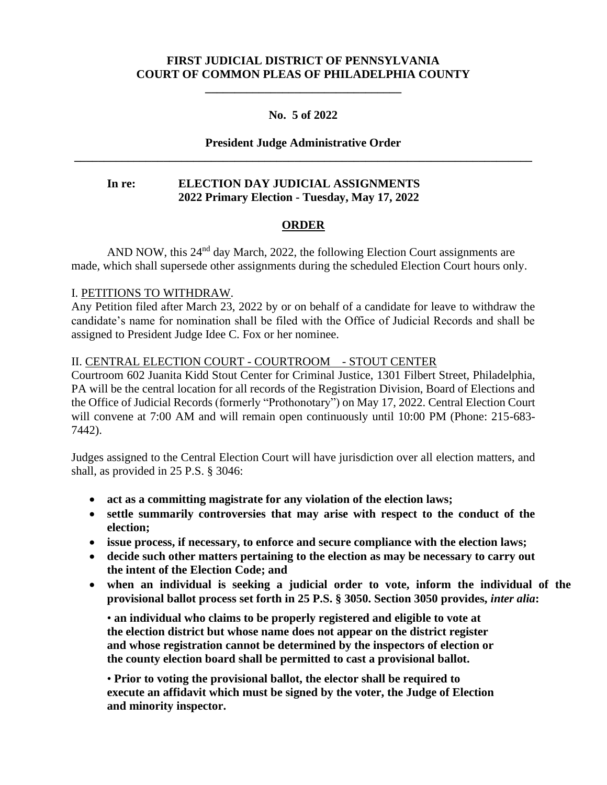# **FIRST JUDICIAL DISTRICT OF PENNSYLVANIA COURT OF COMMON PLEAS OF PHILADELPHIA COUNTY**

**\_\_\_\_\_\_\_\_\_\_\_\_\_\_\_\_\_\_\_\_\_\_\_\_\_\_\_\_\_\_\_\_\_**

## **No. 5 of 2022**

# **President Judge Administrative Order \_\_\_\_\_\_\_\_\_\_\_\_\_\_\_\_\_\_\_\_\_\_\_\_\_\_\_\_\_\_\_\_\_\_\_\_\_\_\_\_\_\_\_\_\_\_\_\_\_\_\_\_\_\_\_\_\_\_\_\_\_\_\_\_\_\_\_\_\_\_\_\_\_\_\_\_\_**

## **In re: ELECTION DAY JUDICIAL ASSIGNMENTS 2022 Primary Election - Tuesday, May 17, 2022**

#### **ORDER**

AND NOW, this 24<sup>nd</sup> day March, 2022, the following Election Court assignments are made, which shall supersede other assignments during the scheduled Election Court hours only.

#### I. PETITIONS TO WITHDRAW.

Any Petition filed after March 23, 2022 by or on behalf of a candidate for leave to withdraw the candidate's name for nomination shall be filed with the Office of Judicial Records and shall be assigned to President Judge Idee C. Fox or her nominee.

#### II. CENTRAL ELECTION COURT - COURTROOM - STOUT CENTER

Courtroom 602 Juanita Kidd Stout Center for Criminal Justice, 1301 Filbert Street, Philadelphia, PA will be the central location for all records of the Registration Division, Board of Elections and the Office of Judicial Records (formerly "Prothonotary") on May 17, 2022. Central Election Court will convene at 7:00 AM and will remain open continuously until 10:00 PM (Phone: 215-683-7442).

Judges assigned to the Central Election Court will have jurisdiction over all election matters, and shall, as provided in 25 P.S. § 3046:

- **act as a committing magistrate for any violation of the election laws;**
- **settle summarily controversies that may arise with respect to the conduct of the election;**
- **issue process, if necessary, to enforce and secure compliance with the election laws;**
- **decide such other matters pertaining to the election as may be necessary to carry out the intent of the Election Code; and**
- **when an individual is seeking a judicial order to vote, inform the individual of the provisional ballot process set forth in 25 P.S. § 3050. Section 3050 provides,** *inter alia***:**

• **an individual who claims to be properly registered and eligible to vote at the election district but whose name does not appear on the district register and whose registration cannot be determined by the inspectors of election or the county election board shall be permitted to cast a provisional ballot.**

• **Prior to voting the provisional ballot, the elector shall be required to execute an affidavit which must be signed by the voter, the Judge of Election and minority inspector.**